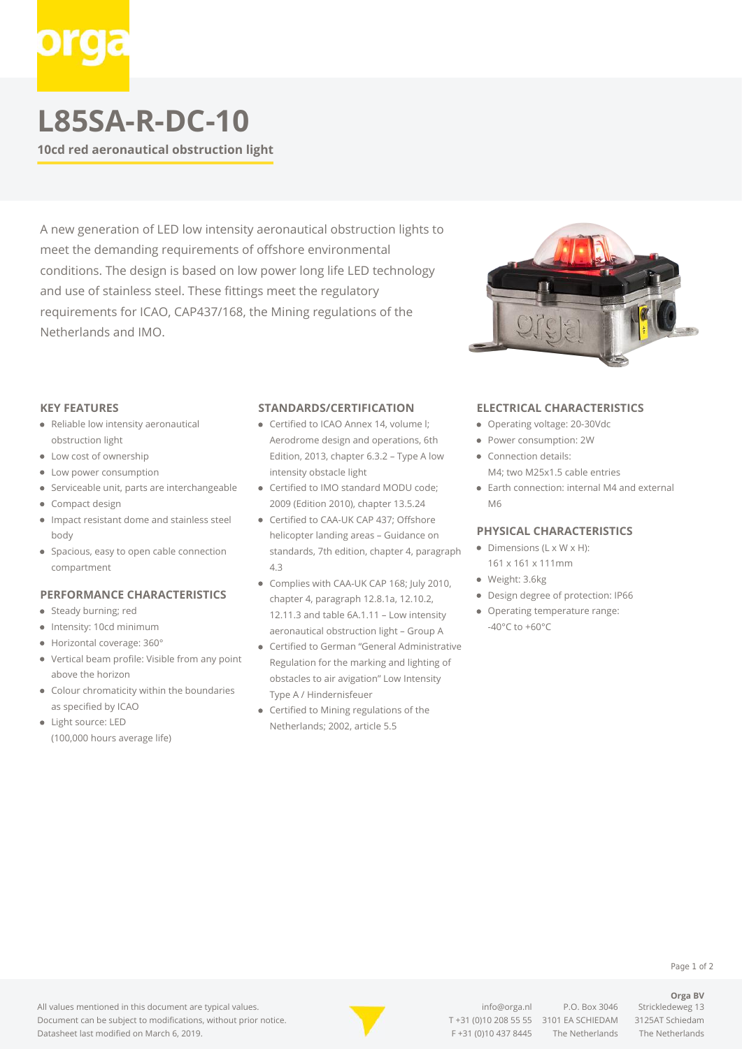# **L85SA-R-DC-10**

**10cd red aeronautical obstruction light**

A new generation of LED low intensity aeronautical obstruction lights to meet the demanding requirements of offshore environmental conditions. The design is based on low power long life LED technology and use of stainless steel. These fittings meet the regulatory requirements for ICAO, CAP437/168, the Mining regulations of the Netherlands and IMO.



#### **KEY FEATURES**

- Reliable low intensity aeronautical obstruction light
- Low cost of ownership
- Low power consumption
- Serviceable unit, parts are interchangeable
- Compact design
- Impact resistant dome and stainless steel body
- Spacious, easy to open cable connection compartment

## **PERFORMANCE CHARACTERISTICS**

- Steady burning; red
- Intensity: 10cd minimum
- Horizontal coverage: 360°
- $\bullet$ Vertical beam profile: Visible from any point above the horizon
- Colour chromaticity within the boundaries as specified by ICAO
- Light source: LED (100,000 hours average life)

### **STANDARDS/CERTIFICATION**

- **Certified to ICAO Annex 14, volume I:** Aerodrome design and operations, 6th Edition, 2013, chapter 6.3.2 – Type A low intensity obstacle light
- Certified to IMO standard MODU code; 2009 (Edition 2010), chapter 13.5.24
- Certified to CAA-UK CAP 437; Offshore helicopter landing areas – Guidance on standards, 7th edition, chapter 4, paragraph 4.3
- Complies with CAA-UK CAP 168; July 2010, chapter 4, paragraph 12.8.1a, 12.10.2, 12.11.3 and table 6A.1.11 – Low intensity aeronautical obstruction light – Group A
- Certified to German "General Administrative Regulation for the marking and lighting of obstacles to air avigation" Low Intensity Type A / Hindernisfeuer
- Certified to Mining regulations of the Netherlands; 2002, article 5.5

### **ELECTRICAL CHARACTERISTICS**

- Operating voltage: 20-30Vdc
- Power consumption: 2W
- Connection details: M4; two M25x1.5 cable entries
- Earth connection: internal M4 and external M6

#### **PHYSICAL CHARACTERISTICS**

- $\bullet$  Dimensions (L x W x H): 161 x 161 x 111mm
- Weight: 3.6kg
- Design degree of protection: IP66
- Operating temperature range: -40°C to +60°C



[info@orga.nl](mailto:info@orga.nl) P.O. Box 3046 Strickledeweg 13 T [+31 \(0\)10 208 55 55](#page--1-0) 3101 EA SCHIEDAM 3125AT Schiedam F +31 (0)10 437 8445 The Netherlands The Netherlands

Page 1 of 2